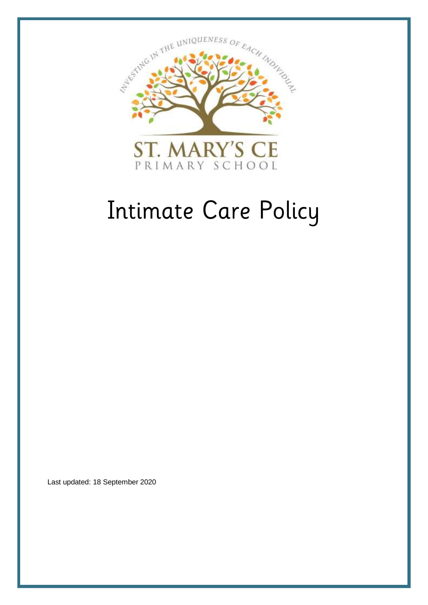

# Intimate Care Policy

Last updated: 18 September 2020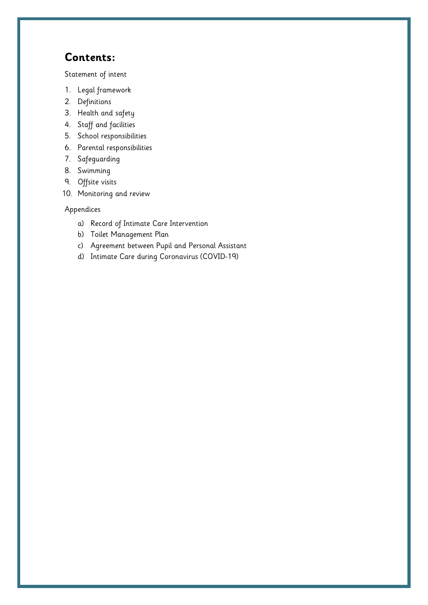# **Contents:**

[Statement of](#page-2-0) intent

- 1. [Legal framework](#page-3-0)
- 2. [Definitions](#page-3-1)
- 3. [Health and safety](#page-4-0)
- 4. [Staff and facilities](#page-4-1)
- 5. [School responsibilities](#page-5-0)
- 6. [Parental responsibilities](#page-6-0)
- 7. [Safeguarding](#page-6-1)
- 8. [Swimming](#page-7-0)
- 9. [Offsite visits](#page-7-1)
- 10. [Monitoring and review](#page-7-2)

Appendices

- a) [Record of Intimate Care Intervention](#page-8-0)
- b) [Toilet Management Plan](#page-9-0)
- c) [Agreement between Pupil and Personal Assistant](#page-9-1)
- d) [Intimate Care during Coronavirus \(COVID-19\)](#page-11-0)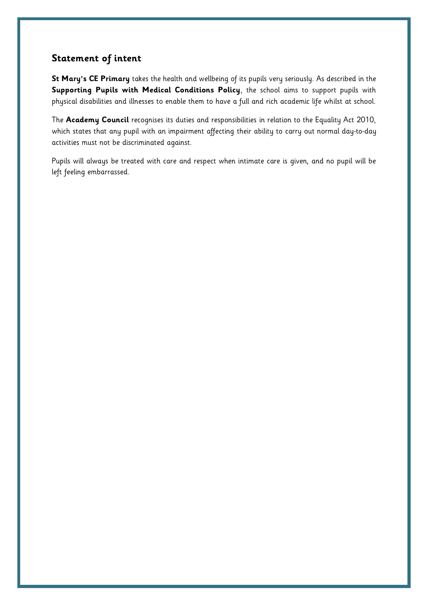### <span id="page-2-0"></span>**Statement of intent**

**St Mary's CE Primary** takes the health and wellbeing of its pupils very seriously. As described in the **Supporting Pupils with Medical Conditions Policy**, the school aims to support pupils with physical disabilities and illnesses to enable them to have a full and rich academic life whilst at school.

The **Academy Council** recognises its duties and responsibilities in relation to the Equality Act 2010, which states that any pupil with an impairment affecting their ability to carry out normal day-to-day activities must not be discriminated against.

Pupils will always be treated with care and respect when intimate care is given, and no pupil will be left feeling embarrassed.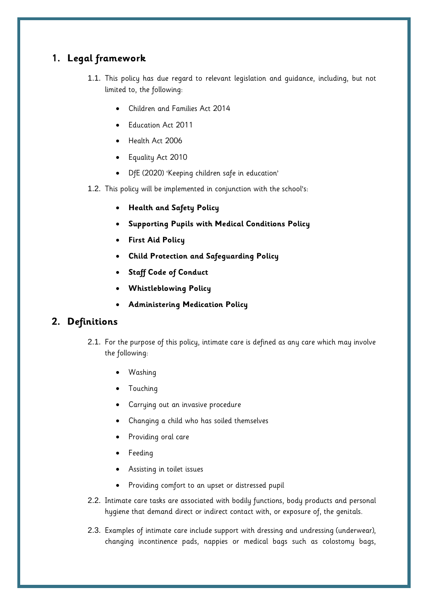## <span id="page-3-0"></span>**1. Legal framework**

- 1.1. This policy has due regard to relevant legislation and guidance, including, but not limited to, the following:
	- Children and Families Act 2014
	- Education Act 2011
	- Health Act 2006
	- Equality Act 2010
	- DfE (2020) 'Keeping children safe in education'
- 1.2. This policy will be implemented in conjunction with the school's:
	- **Health and Safety Policy**
	- **Supporting Pupils with Medical Conditions Policy**
	- **First Aid Policy**
	- **Child Protection and Safeguarding Policy**
	- **Staff Code of Conduct**
	- **Whistleblowing Policy**
	- **Administering Medication Policy**

### <span id="page-3-1"></span>**2. Definitions**

- 2.1. For the purpose of this policy, intimate care is defined as any care which may involve the following:
	- Washing
	- Touching
	- Carrying out an invasive procedure
	- Changing a child who has soiled themselves
	- Providing oral care
	- Feeding
	- Assisting in toilet issues
	- Providing comfort to an upset or distressed pupil
- 2.2. Intimate care tasks are associated with bodily functions, body products and personal hygiene that demand direct or indirect contact with, or exposure of, the genitals.
- 2.3. Examples of intimate care include support with dressing and undressing (underwear), changing incontinence pads, nappies or medical bags such as colostomy bags,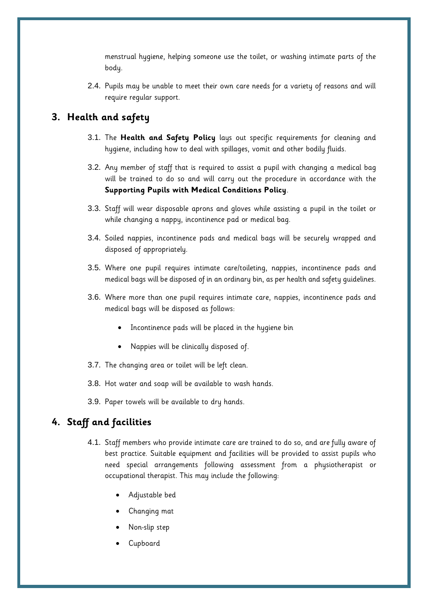menstrual hygiene, helping someone use the toilet, or washing intimate parts of the body.

2.4. Pupils may be unable to meet their own care needs for a variety of reasons and will require regular support.

### <span id="page-4-0"></span>**3. Health and safety**

- 3.1. The **Health and Safety Policy** lays out specific requirements for cleaning and hygiene, including how to deal with spillages, vomit and other bodily fluids.
- 3.2. Any member of staff that is required to assist a pupil with changing a medical bag will be trained to do so and will carry out the procedure in accordance with the **Supporting Pupils with Medical Conditions Policy**.
- 3.3. Staff will wear disposable aprons and gloves while assisting a pupil in the toilet or while changing a nappy, incontinence pad or medical bag.
- 3.4. Soiled nappies, incontinence pads and medical bags will be securely wrapped and disposed of appropriately.
- 3.5. Where one pupil requires intimate care/toileting, nappies, incontinence pads and medical bags will be disposed of in an ordinary bin, as per health and safety guidelines.
- 3.6. Where more than one pupil requires intimate care, nappies, incontinence pads and medical bags will be disposed as follows:
	- Incontinence pads will be placed in the hygiene bin
	- Nappies will be clinically disposed of.
- 3.7. The changing area or toilet will be left clean.
- 3.8. Hot water and soap will be available to wash hands.
- 3.9. Paper towels will be available to dry hands.

### <span id="page-4-1"></span>**4. Staff and facilities**

- 4.1. Staff members who provide intimate care are trained to do so, and are fully aware of best practice. Suitable equipment and facilities will be provided to assist pupils who need special arrangements following assessment from a physiotherapist or occupational therapist. This may include the following:
	- Adjustable bed
	- Changing mat
	- Non-slip step
	- Cupboard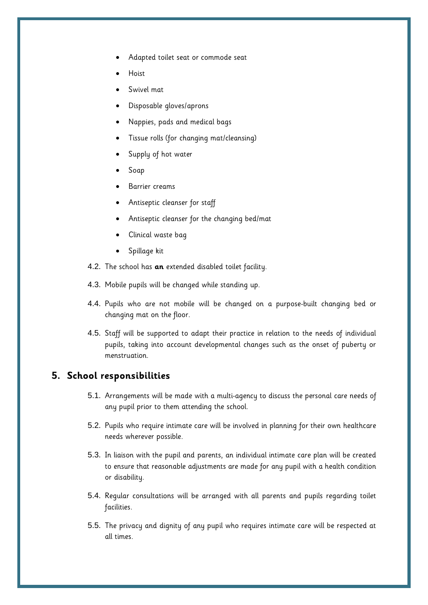- Adapted toilet seat or commode seat
- Hoist
- Swivel mat
- Disposable gloves/aprons
- Nappies, pads and medical bags
- Tissue rolls (for changing mat/cleansing)
- Supply of hot water
- Soap
- Barrier creams
- Antiseptic cleanser for staff
- Antiseptic cleanser for the changing bed/mat
- Clinical waste bag
- Spillage kit
- 4.2. The school has **an** extended disabled toilet facility.
- 4.3. Mobile pupils will be changed while standing up.
- 4.4. Pupils who are not mobile will be changed on a purpose-built changing bed or changing mat on the floor.
- 4.5. Staff will be supported to adapt their practice in relation to the needs of individual pupils, taking into account developmental changes such as the onset of puberty or menstruation.

### <span id="page-5-0"></span>**5. School responsibilities**

- 5.1. Arrangements will be made with a multi-agency to discuss the personal care needs of any pupil prior to them attending the school.
- 5.2. Pupils who require intimate care will be involved in planning for their own healthcare needs wherever possible.
- 5.3. In liaison with the pupil and parents, an individual intimate care plan will be created to ensure that reasonable adjustments are made for any pupil with a health condition or disability.
- 5.4. Regular consultations will be arranged with all parents and pupils regarding toilet facilities.
- 5.5. The privacy and dignity of any pupil who requires intimate care will be respected at all times.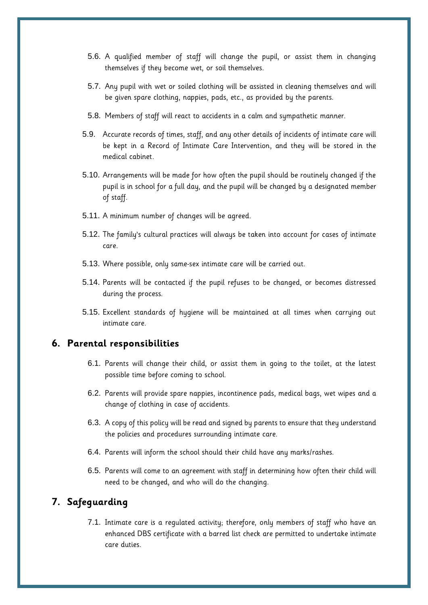- 5.6. A qualified member of staff will change the pupil, or assist them in changing themselves if they become wet, or soil themselves.
- 5.7. Any pupil with wet or soiled clothing will be assisted in cleaning themselves and will be given spare clothing, nappies, pads, etc., as provided by the parents.
- 5.8. Members of staff will react to accidents in a calm and sympathetic manner.
- 5.9. Accurate records of times, staff, and any other details of incidents of intimate care will be kept in a [Record of Intimate Care Intervention,](#page-8-0) and they will be stored in the medical cabinet.
- 5.10. Arrangements will be made for how often the pupil should be routinely changed if the pupil is in school for a full day, and the pupil will be changed by a designated member of staff.
- 5.11. A minimum number of changes will be agreed.
- 5.12. The family's cultural practices will always be taken into account for cases of intimate care.
- 5.13. Where possible, only same-sex intimate care will be carried out.
- 5.14. Parents will be contacted if the pupil refuses to be changed, or becomes distressed during the process.
- 5.15. Excellent standards of hygiene will be maintained at all times when carrying out intimate care.

### <span id="page-6-0"></span>**6. Parental responsibilities**

- 6.1. Parents will change their child, or assist them in going to the toilet, at the latest possible time before coming to school.
- 6.2. Parents will provide spare nappies, incontinence pads, medical bags, wet wipes and a change of clothing in case of accidents.
- 6.3. A copy of this policy will be read and signed by parents to ensure that they understand the policies and procedures surrounding intimate care.
- 6.4. Parents will inform the school should their child have any marks/rashes.
- 6.5. Parents will come to an agreement with staff in determining how often their child will need to be changed, and who will do the changing.

### <span id="page-6-1"></span>**7. Safeguarding**

7.1. Intimate care is a regulated activity; therefore, only members of staff who have an enhanced DBS certificate with a barred list check are permitted to undertake intimate care duties.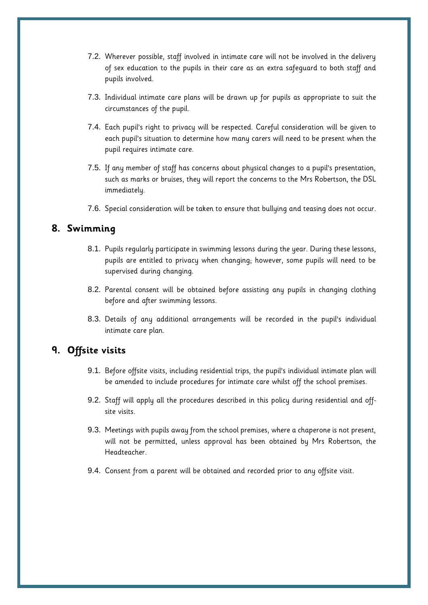- 7.2. Wherever possible, staff involved in intimate care will not be involved in the delivery of sex education to the pupils in their care as an extra safeguard to both staff and pupils involved.
- 7.3. Individual intimate care plans will be drawn up for pupils as appropriate to suit the circumstances of the pupil.
- 7.4. Each pupil's right to privacy will be respected. Careful consideration will be given to each pupil's situation to determine how many carers will need to be present when the pupil requires intimate care.
- 7.5. If any member of staff has concerns about physical changes to a pupil's presentation, such as marks or bruises, they will report the concerns to the Mrs Robertson, the DSL immediately.
- 7.6. Special consideration will be taken to ensure that bullying and teasing does not occur.

### <span id="page-7-0"></span>**8. Swimming**

- 8.1. Pupils regularly participate in swimming lessons during the year. During these lessons, pupils are entitled to privacy when changing; however, some pupils will need to be supervised during changing.
- 8.2. Parental consent will be obtained before assisting any pupils in changing clothing before and after swimming lessons.
- 8.3. Details of any additional arrangements will be recorded in the pupil's individual intimate care plan.

## <span id="page-7-1"></span>**9. Offsite visits**

- 9.1. Before offsite visits, including residential trips, the pupil's individual intimate plan will be amended to include procedures for intimate care whilst off the school premises.
- 9.2. Staff will apply all the procedures described in this policy during residential and offsite visits.
- 9.3. Meetings with pupils away from the school premises, where a chaperone is not present, will not be permitted, unless approval has been obtained by Mrs Robertson, the Headteacher.
- <span id="page-7-2"></span>9.4. Consent from a parent will be obtained and recorded prior to any offsite visit.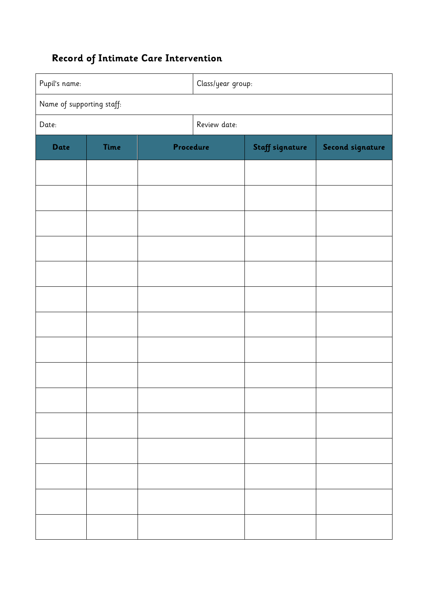# <span id="page-8-0"></span>**Record of Intimate Care Intervention**

| Pupil's name:             |             |           | Class/year group: |                 |                  |  |  |
|---------------------------|-------------|-----------|-------------------|-----------------|------------------|--|--|
| Name of supporting staff: |             |           |                   |                 |                  |  |  |
| Date:                     |             |           | Review date:      |                 |                  |  |  |
| Date                      | <b>Time</b> | Procedure |                   | Staff signature | Second signature |  |  |
|                           |             |           |                   |                 |                  |  |  |
|                           |             |           |                   |                 |                  |  |  |
|                           |             |           |                   |                 |                  |  |  |
|                           |             |           |                   |                 |                  |  |  |
|                           |             |           |                   |                 |                  |  |  |
|                           |             |           |                   |                 |                  |  |  |
|                           |             |           |                   |                 |                  |  |  |
|                           |             |           |                   |                 |                  |  |  |
|                           |             |           |                   |                 |                  |  |  |
|                           |             |           |                   |                 |                  |  |  |
|                           |             |           |                   |                 |                  |  |  |
|                           |             |           |                   |                 |                  |  |  |
|                           |             |           |                   |                 |                  |  |  |
|                           |             |           |                   |                 |                  |  |  |
|                           |             |           |                   |                 |                  |  |  |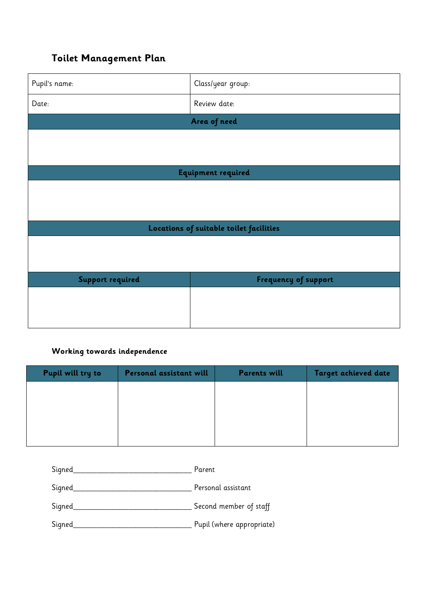# <span id="page-9-0"></span>**Toilet Management Plan**

| Pupil's name:                           | Class/year group:    |  |  |  |  |
|-----------------------------------------|----------------------|--|--|--|--|
| Date:                                   | Review date:         |  |  |  |  |
| Area of need                            |                      |  |  |  |  |
|                                         |                      |  |  |  |  |
|                                         |                      |  |  |  |  |
| Equipment required                      |                      |  |  |  |  |
|                                         |                      |  |  |  |  |
|                                         |                      |  |  |  |  |
| Locations of suitable toilet facilities |                      |  |  |  |  |
|                                         |                      |  |  |  |  |
|                                         |                      |  |  |  |  |
| <b>Support required</b>                 | Frequency of support |  |  |  |  |
|                                         |                      |  |  |  |  |
|                                         |                      |  |  |  |  |
|                                         |                      |  |  |  |  |

### **Working towards independence**

| Pupil will try to | Personal assistant will | <b>Parents will</b> | Target achieved date |
|-------------------|-------------------------|---------------------|----------------------|
|                   |                         |                     |                      |
|                   |                         |                     |                      |
|                   |                         |                     |                      |
|                   |                         |                     |                      |

Signed\_\_\_\_\_\_\_\_\_\_\_\_\_\_\_\_\_\_\_\_\_\_\_\_\_\_\_\_\_\_ Parent

Signed\_\_\_\_\_\_\_\_\_\_\_\_\_\_\_\_\_\_\_\_\_\_\_\_\_\_\_\_\_\_ Personal assistant

Signed\_\_\_\_\_\_\_\_\_\_\_\_\_\_\_\_\_\_\_\_\_\_\_\_\_\_\_\_\_\_ Second member of staff

<span id="page-9-1"></span>Signed\_\_\_\_\_\_\_\_\_\_\_\_\_\_\_\_\_\_\_\_\_\_\_\_\_\_\_\_\_\_ Pupil (where appropriate)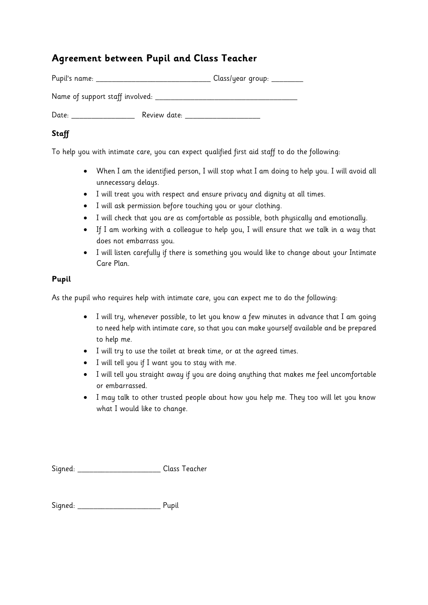# **Agreement between Pupil and Class Teacher**

| Pupil's name:                   |              | Class/year group: ______ |
|---------------------------------|--------------|--------------------------|
| Name of support staff involved: |              |                          |
| Date:                           | Review date: |                          |

### **Staff**

To help you with intimate care, you can expect qualified first aid staff to do the following:

- When I am the identified person, I will stop what I am doing to help you. I will avoid all unnecessary delays.
- I will treat you with respect and ensure privacy and dignity at all times.
- I will ask permission before touching you or your clothing.
- I will check that you are as comfortable as possible, both physically and emotionally.
- If I am working with a colleague to help you, I will ensure that we talk in a way that does not embarrass you.
- I will listen carefully if there is something you would like to change about your Intimate Care Plan.

### **Pupil**

As the pupil who requires help with intimate care, you can expect me to do the following:

- I will try, whenever possible, to let you know a few minutes in advance that I am going to need help with intimate care, so that you can make yourself available and be prepared to help me.
- I will try to use the toilet at break time, or at the agreed times.
- I will tell you if I want you to stay with me.
- I will tell you straight away if you are doing anything that makes me feel uncomfortable or embarrassed.
- I may talk to other trusted people about how you help me. They too will let you know what I would like to change.

Signed: \_\_\_\_\_\_\_\_\_\_\_\_\_\_\_\_\_\_\_\_\_ Class Teacher

Signed: \_\_\_\_\_\_\_\_\_\_\_\_\_\_\_\_\_\_\_\_\_\_\_\_\_\_\_\_\_\_\_\_\_\_ Pupil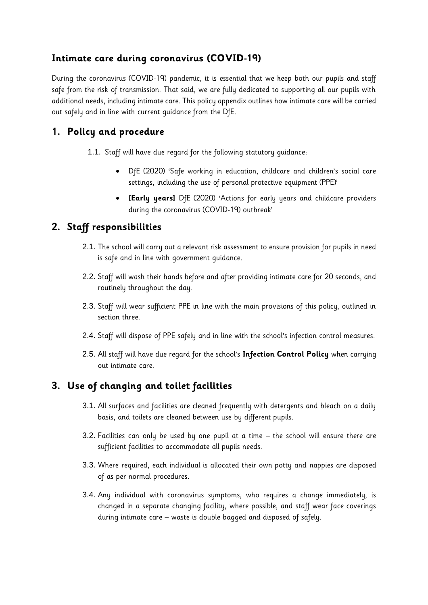# <span id="page-11-0"></span>**Intimate care during coronavirus (COVID-19)**

During the coronavirus (COVID-19) pandemic, it is essential that we keep both our pupils and staff safe from the risk of transmission. That said, we are fully dedicated to supporting all our pupils with additional needs, including intimate care. This policy appendix outlines how intimate care will be carried out safely and in line with current guidance from the DfE.

# **1. Policy and procedure**

- 1.1. Staff will have due regard for the following statutory guidance:
	- DfE (2020) 'Safe working in education, childcare and children's social care settings, including the use of personal protective equipment (PPE)'
	- **[Early years]** DfE (2020) 'Actions for early years and childcare providers during the coronavirus (COVID-19) outbreak'

# **2. Staff responsibilities**

- 2.1. The school will carry out a relevant risk assessment to ensure provision for pupils in need is safe and in line with government guidance.
- 2.2. Staff will wash their hands before and after providing intimate care for 20 seconds, and routinely throughout the day.
- 2.3. Staff will wear sufficient PPE in line with the main provisions of this policy, outlined in [section three.](#page-4-0)
- 2.4. Staff will dispose of PPE safely and in line with the school's infection control measures.
- 2.5. All staff will have due regard for the school's **Infection Control Policy** when carrying out intimate care.

# **3. Use of changing and toilet facilities**

- 3.1. All surfaces and facilities are cleaned frequently with detergents and bleach on a daily basis, and toilets are cleaned between use by different pupils.
- 3.2. Facilities can only be used by one pupil at a time the school will ensure there are sufficient facilities to accommodate all pupils needs.
- 3.3. Where required, each individual is allocated their own potty and nappies are disposed of as per normal procedures.
- 3.4. Any individual with coronavirus symptoms, who requires a change immediately, is changed in a separate changing facility, where possible, and staff wear face coverings during intimate care – waste is double bagged and disposed of safely.